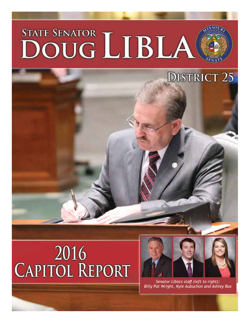# STATE SENATOR LIBLA

# 2016 **CAPITOL REPORT**



**DISTRICT 25** 

*Senator Libla's staff (left to right): Billy Pat Wright, Kyle Aubuchon and Ashley Bax*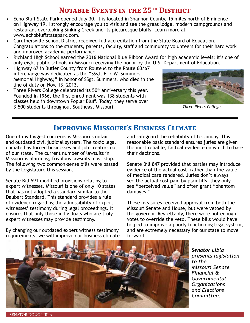### **NOTABLE EVENTS IN THE 25<sup>TH</sup> DISTRICT**

- Echo Bluff State Park opened July 30. It is located in Shannon County, 15 miles north of Eminence on Highway 19. I strongly encourage you to visit and see the great lodge, modern campgrounds and restaurant overlooking Sinking Creek and its picturesque bluffs. Learn more at www.echobluffstatepark.com.
- Caruthersville School District received full accreditation from the State Board of Education. Congratulations to the students, parents, faculty, staff and community volunteers for their hard work and improved academic performance.
- Richland High School earned the 2016 National Blue Ribbon Award for high academic levels; it's one of only eight public schools in Missouri receiving the honor by the U.S. Department of Education.
- Highway 67 in Butler County from Route M to the Route 60/67 interchange was dedicated as the "SSgt. Eric W. Summers Memorial Highway," in honor of SSgt. Summers, who died in the line of duty on Nov. 13, 2013.
- Three Rivers College celebrated its 50<sup>th</sup> anniversary this year. Founded in 1966, the first enrollment was 138 students with classes held in downtown Poplar Bluff. Today, they serve over 3,500 students throughout Southeast Missouri. *Three Rivers College*



### **Improving Missouri's Business Climate**

One of my biggest concerns is Missouri's unfair and outdated civil judicial system. The toxic legal climate has forced businesses and job creators out of our state. The current number of lawsuits in Missouri is alarming; frivolous lawsuits must stop. The following two common-sense bills were passed by the Legislature this session.

Senate Bill 591 modified provisions relating to expert witnesses. Missouri is one of only 10 states that has not adopted a standard similar to the Daubert Standard. This standard provides a rule of evidence regarding the admissibility of expert witnesses' testimony during legal proceedings. It ensures that only those individuals who are truly expert witnesses may provide testimony.

By changing our outdated expert witness testimony requirements, we will improve our business climate

and safeguard the reliability of testimony. This reasonable basic standard ensures juries are given the most reliable, factual evidence on which to base their decisions.

Senate Bill 847 provided that parties may introduce evidence of the actual cost, rather than the value, of medical care rendered. Juries don't always see the actual cost paid by plaintiffs, they only see "perceived value" and often grant "phantom damages."

These measures received approval from both the Missouri Senate and House, but were vetoed by the governor. Regrettably, there were not enough votes to override the veto. These bills would have helped to improve a poorly functioning legal system, and are extremely necessary for our state to move forward.



*Senator Libla presents legislation to the Missouri Senate Financial & Governmental Organizations and Elections Committee.*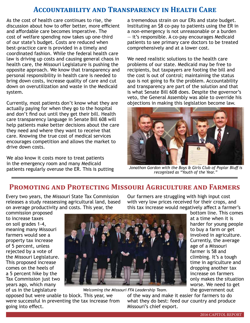#### **Accountability and Transparency in Health Care**

As the cost of health care continues to rise, the discussion about how to offer better, more efficient and affordable care becomes imperative. The cost of welfare spending now takes up one-third of our state's budget. Costs are reduced when best-practice care is provided in a timely and coordinated fashion. While the federal health care law is driving up costs and causing general chaos in health care, the Missouri Legislature is pushing the opposite approach. We know that transparency and personal responsibility in health care is needed to bring down costs, increase quality of care and cut down on overutilization and waste in the Medicaid system.

Currently, most patients don't know what they are actually paying for when they go to the hospital and don't find out until they get their bill. Health care transparency language in Senate Bill 608 will help patients make better decisions about the care they need and where they want to receive that care. Knowing the true cost of medical services encourages competition and allows the market to drive down costs.

We also know it costs more to treat patients in the emergency room and many Medicaid patients regularly overuse the ER. This is putting

a tremendous strain on our ERs and state budget. Instituting an \$8 co-pay to patients using the ER in a non-emergency is not unreasonable or a burden — it's responsible. A co-pay encourages Medicaid patients to see primary care doctors to be treated comprehensively and at a lower cost.

We need realistic solutions to the health care problems of our state. Medicaid may be free to recipients, but taxpayers are footing the bill and the cost is out of control; maintaining the status quo is not going to fix the problem. Accountability and transparency are part of the solution and that is what Senate Bill 608 does. Despite the governor's veto, the General Assembly was able to override his objections in making this legislation become law.



*Jonathon Gordon with the Boys & Girls Club of Poplar Bluff is recognized as "Youth of the Year."*

#### **Promoting and Protecting Missouri Agriculture and Farmers**

Every two years, the Missouri State Tax Commission releases a study reassessing agricultural land, based on average productivity and costs. This year, the

commission proposed to increase taxes on soil grades 1-4, meaning many Missouri farmers would see a property tax increase of 5 percent, unless rejected by a vote of the Missouri Legislature. This proposed increase comes on the heels of a 5 percent hike by the Tax Commission just two years ago, which many of us in the Legislature



*Welcoming the Missouri FFA Leadership Team.*

opposed but were unable to block. This year, we were successful in preventing the tax increase from going into effect.

Our farmers are struggling with high input cost with very low prices received for their crops, and this tax increase would negatively affect a farmer's

bottom line. This comes at a time when it is harder for young people to buy a farm or get involved in agriculture. Currently, the average age of a Missouri farmer is 58 and climbing. It's a tough time in agriculture and dropping another tax increase on farmers only makes the situation worse. We need to get the government out

of the way and make it easier for farmers to do what they do best: feed our country and produce Missouri's chief export.